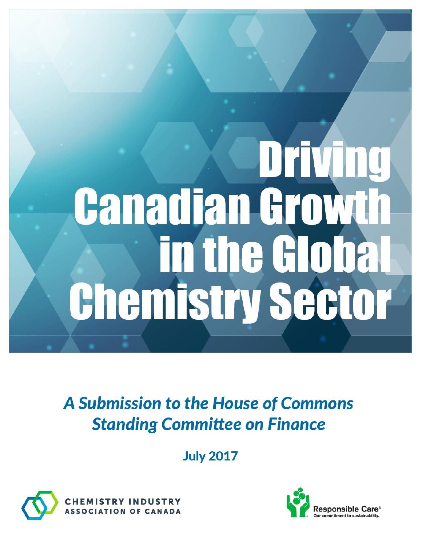# **DETVING Canadian Growth** in the Globa **Chemistry Sector**

A Submission to the House of Commons **Standing Committee on Finance** 

**July 2017** 



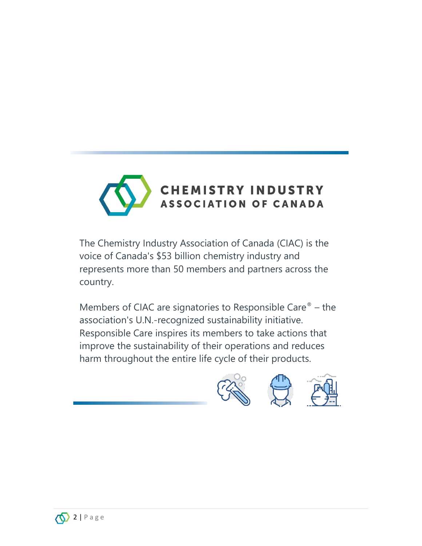

The Chemistry Industry Association of Canada (CIAC) is the voice of Canada's \$53 billion chemistry industry and represents more than 50 members and partners across the country.

Members of CIAC are signatories to Responsible Care $^{\circ}$  – the association's U.N.-recognized sustainability initiative. Responsible Care inspires its members to take actions that improve the sustainability of their operations and reduces harm throughout the entire life cycle of their products.



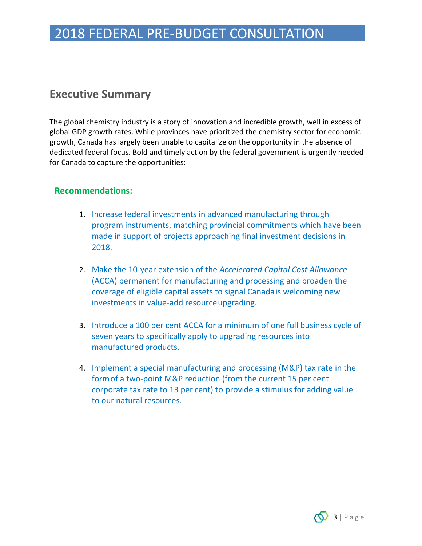# 2018 FEDERAL PRE-BUDGET CONSULTATION

## **Executive Summary**

The global chemistry industry is a story of innovation and incredible growth, well in excess of global GDP growth rates. While provinces have prioritized the chemistry sector for economic growth, Canada has largely been unable to capitalize on the opportunity in the absence of dedicated federal focus. Bold and timely action by the federal government is urgently needed for Canada to capture the opportunities:

#### **Recommendations:**

- 1. Increase federal investments in advanced manufacturing through program instruments, matching provincial commitments which have been made in support of projects approaching final investment decisions in 2018.
- 2. Make the 10-year extension of the *Accelerated Capital Cost Allowance*  (ACCA) permanent for manufacturing and processing and broaden the coverage of eligible capital assets to signal Canadais welcoming new investments in value-add resource upgrading.
- 3. Introduce a 100 per cent ACCA for a minimum of one full business cycle of seven years to specifically apply to upgrading resources into manufactured products.
- 4. Implement a special manufacturing and processing (M&P) tax rate in the formof a two-point M&P reduction (from the current 15 per cent corporate tax rate to 13 per cent) to provide a stimulus for adding value to our natural resources.

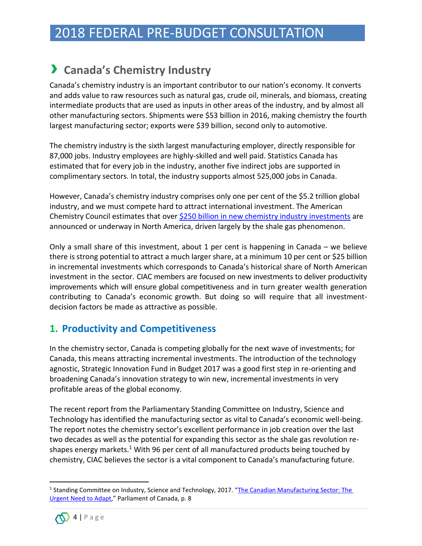# 2018 FEDERAL PRE-BUDGET CONSULTATION

## › **Canada's Chemistry Industry**

Canada's chemistry industry is an important contributor to our nation's economy. It converts and adds value to raw resources such as natural gas, crude oil, minerals, and biomass, creating intermediate products that are used as inputs in other areas of the industry, and by almost all other manufacturing sectors. Shipments were \$53 billion in 2016, making chemistry the fourth largest manufacturing sector; exports were \$39 billion, second only to automotive.

The chemistry industry is the sixth largest manufacturing employer, directly responsible for 87,000 jobs. Industry employees are highly-skilled and well paid. Statistics Canada has estimated that for every job in the industry, another five indirect jobs are supported in complimentary sectors. In total, the industry supports almost 525,000 jobs in Canada.

However, Canada's chemistry industry comprises only one per cent of the \$5.2 trillion global industry, and we must compete hard to attract international investment. The American Chemistry Council estimates that over [\\$250 billion in new chemistry industry investments](https://www.americanchemistry.com/Shale_Gas_Fact_Sheet.aspx) are announced or underway in North America, driven largely by the shale gas phenomenon.

Only a small share of this investment, about 1 per cent is happening in Canada – we believe there is strong potential to attract a much larger share, at a minimum 10 per cent or \$25 billion in incremental investments which corresponds to Canada's historical share of North American investment in the sector. CIAC members are focused on new investments to deliver productivity improvements which will ensure global competitiveness and in turn greater wealth generation contributing to Canada's economic growth. But doing so will require that all investmentdecision factors be made as attractive as possible.

### **1. Productivity and Competitiveness**

In the chemistry sector, Canada is competing globally for the next wave of investments; for Canada, this means attracting incremental investments. The introduction of the technology agnostic, Strategic Innovation Fund in Budget 2017 was a good first step in re-orienting and broadening Canada's innovation strategy to win new, incremental investments in very profitable areas of the global economy.

The recent report from the Parliamentary Standing Committee on Industry, Science and Technology has identified the manufacturing sector as vital to Canada's economic well-being. The report notes the chemistry sector's excellent performance in job creation over the last two decades as well as the potential for expanding this sector as the shale gas revolution reshapes energy markets.<sup>1</sup> With 96 per cent of all manufactured products being touched by chemistry, CIAC believes the sector is a vital component to Canada's manufacturing future.

<sup>&</sup>lt;sup>1</sup> Standing Committee on Industry, Science and Technology, 2017. "The Canadian Manufacturing Sector: The [Urgent Need to Adapt](http://publications.gc.ca/collections/collection_2017/parl/xc39-1/XC39-1-1-421-6-eng.pdf)," Parliament of Canada, p. 8



 $\overline{\phantom{a}}$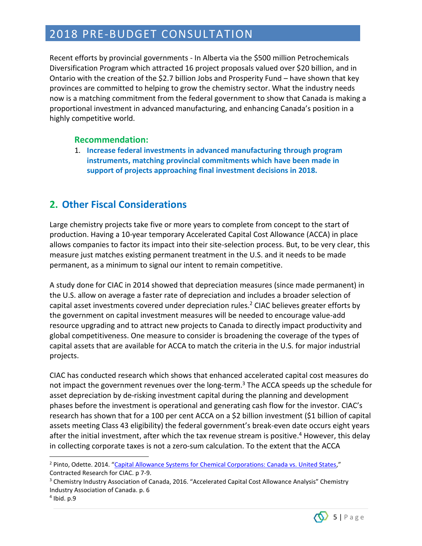## 2018 PRE-BUDGET CONSULTATION

Recent efforts by provincial governments - In Alberta via the \$500 million Petrochemicals Diversification Program which attracted 16 project proposals valued over \$20 billion, and in Ontario with the creation of the \$2.7 billion Jobs and Prosperity Fund – have shown that key provinces are committed to helping to grow the chemistry sector. What the industry needs now is a matching commitment from the federal government to show that Canada is making a proportional investment in advanced manufacturing, and enhancing Canada's position in a highly competitive world.

#### **Recommendation:**

1. **Increase federal investments in advanced manufacturing through program instruments, matching provincial commitments which have been made in support of projects approaching final investment decisions in 2018.**

## **2. Other Fiscal Considerations**

Large chemistry projects take five or more years to complete from concept to the start of production. Having a 10-year temporary Accelerated Capital Cost Allowance (ACCA) in place allows companies to factor its impact into their site-selection process. But, to be very clear, this measure just matches existing permanent treatment in the U.S. and it needs to be made permanent, as a minimum to signal our intent to remain competitive.

A study done for CIAC in 2014 showed that depreciation measures (since made permanent) in the U.S. allow on average a faster rate of depreciation and includes a broader selection of capital asset investments covered under depreciation rules.<sup>2</sup> CIAC believes greater efforts by the government on capital investment measures will be needed to encourage value-add resource upgrading and to attract new projects to Canada to directly impact productivity and global competitiveness. One measure to consider is broadening the coverage of the types of capital assets that are available for ACCA to match the criteria in the U.S. for major industrial projects.

CIAC has conducted research which shows that enhanced accelerated capital cost measures do not impact the government revenues over the long-term.<sup>3</sup> The ACCA speeds up the schedule for asset depreciation by de-risking investment capital during the planning and development phases before the investment is operational and generating cash flow for the investor. CIAC's research has shown that for a 100 per cent ACCA on a \$2 billion investment (\$1 billion of capital assets meeting Class 43 eligibility) the federal government's break-even date occurs eight years after the initial investment, after which the tax revenue stream is positive.<sup>4</sup> However, this delay in collecting corporate taxes is not a zero-sum calculation. To the extent that the ACCA

 $\overline{a}$ 



<sup>&</sup>lt;sup>2</sup> Pinto, Odette. 2014. "[Capital Allowance Systems for Chemical Corporations: Canada vs. United States](https://chimiecanadienne.ca/library/uploads/CIAC_Final_Report_Oct_6_2014.pdf)," Contracted Research for CIAC. p 7-9.

<sup>&</sup>lt;sup>3</sup> Chemistry Industry Association of Canada, 2016. "Accelerated Capital Cost Allowance Analysis" Chemistry Industry Association of Canada. p. 6

<sup>4</sup> Ibid. p.9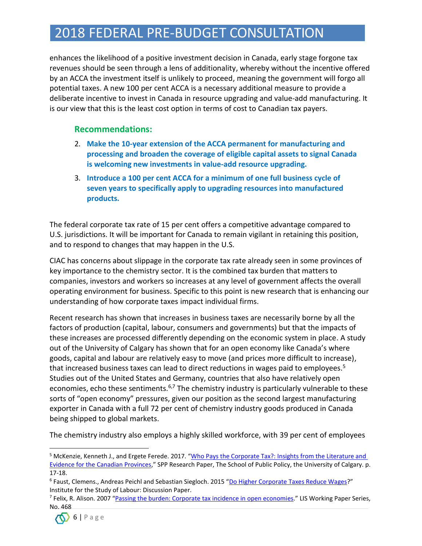# 2018 FEDERAL PRE-BUDGET CONSULTATION

enhances the likelihood of a positive investment decision in Canada, early stage forgone tax revenues should be seen through a lens of additionality, whereby without the incentive offered by an ACCA the investment itself is unlikely to proceed, meaning the government will forgo all potential taxes. A new 100 per cent ACCA is a necessary additional measure to provide a deliberate incentive to invest in Canada in resource upgrading and value-add manufacturing. It is our view that this is the least cost option in terms of cost to Canadian tax payers.

#### **Recommendations:**

- 2. **Make the 10-year extension of the ACCA permanent for manufacturing and processing and broaden the coverage of eligible capital assets to signal Canada is welcoming new investments in value-add resource upgrading.**
- 3. **Introduce a 100 per cent ACCA for a minimum of one full business cycle of seven years to specifically apply to upgrading resources into manufactured products.**

The federal corporate tax rate of 15 per cent offers a competitive advantage compared to U.S. jurisdictions. It will be important for Canada to remain vigilant in retaining this position, and to respond to changes that may happen in the U.S.

CIAC has concerns about slippage in the corporate tax rate already seen in some provinces of key importance to the chemistry sector. It is the combined tax burden that matters to companies, investors and workers so increases at any level of government affects the overall operating environment for business. Specific to this point is new research that is enhancing our understanding of how corporate taxes impact individual firms.

Recent research has shown that increases in business taxes are necessarily borne by all the factors of production (capital, labour, consumers and governments) but that the impacts of these increases are processed differently depending on the economic system in place. A study out of the University of Calgary has shown that for an open economy like Canada's where goods, capital and labour are relatively easy to move (and prices more difficult to increase), that increased business taxes can lead to direct reductions in wages paid to employees.<sup>5</sup> Studies out of the United States and Germany, countries that also have relatively open economies, echo these sentiments.<sup>6,7</sup> The chemistry industry is particularly vulnerable to these sorts of "open economy" pressures, given our position as the second largest manufacturing exporter in Canada with a full 72 per cent of chemistry industry goods produced in Canada being shipped to global markets.

The chemistry industry also employs a highly skilled workforce, with 39 per cent of employees

<sup>&</sup>lt;sup>7</sup> Felix, R. Alison. 2007 "<u>[Passing the burden: Corporate tax incidence in](https://www.econstor.eu/bitstream/10419/95465/1/55145931X.pdf) open economies</u>." LIS Working Paper Series, No. 468



 $\overline{\phantom{a}}$ 

<sup>5</sup> McKenzie, Kenneth J., and Ergete Ferede. 2017. "Who Pays the Corporate Tax?: [Insights from the Literature and](https://www.policyschool.ca/wp-content/uploads/2017/04/Corporate-Tax-McKenzie-Ferede1.pdf)  [Evidence for the Canadian Provinces](https://www.policyschool.ca/wp-content/uploads/2017/04/Corporate-Tax-McKenzie-Ferede1.pdf)," SPP Research Paper, The School of Public Policy, the University of Calgary. p. 17-18.

<sup>&</sup>lt;sup>6</sup> Faust, Clemens., Andreas Peichl and Sebastian Siegloch. 2015 "[Do Higher Corporate Taxes Reduce Wages](http://ftp.iza.org/dp9606.pdf)?" Institute for the Study of Labour: Discussion Paper.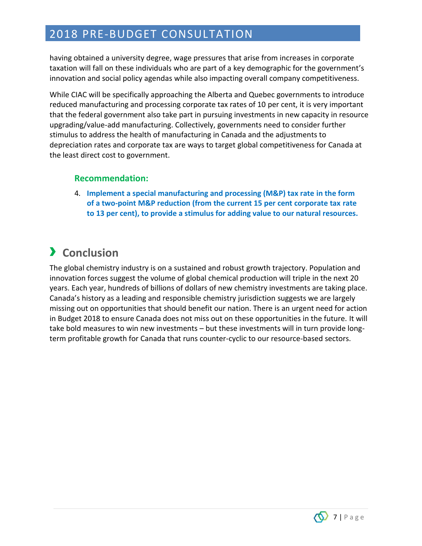## 2018 PRE-BUDGET CONSULTATION

having obtained a university degree, wage pressures that arise from increases in corporate taxation will fall on these individuals who are part of a key demographic for the government's innovation and social policy agendas while also impacting overall company competitiveness.

While CIAC will be specifically approaching the Alberta and Quebec governments to introduce reduced manufacturing and processing corporate tax rates of 10 per cent, it is very important that the federal government also take part in pursuing investments in new capacity in resource upgrading/value-add manufacturing. Collectively, governments need to consider further stimulus to address the health of manufacturing in Canada and the adjustments to depreciation rates and corporate tax are ways to target global competitiveness for Canada at the least direct cost to government.

#### **Recommendation:**

4. **Implement a special manufacturing and processing (M&P) tax rate in the form of a two-point M&P reduction (from the current 15 per cent corporate tax rate to 13 per cent), to provide a stimulus for adding value to our natural resources.**

# › **Conclusion**

The global chemistry industry is on a sustained and robust growth trajectory. Population and innovation forces suggest the volume of global chemical production will triple in the next 20 years. Each year, hundreds of billions of dollars of new chemistry investments are taking place. Canada's history as a leading and responsible chemistry jurisdiction suggests we are largely missing out on opportunities that should benefit our nation. There is an urgent need for action in Budget 2018 to ensure Canada does not miss out on these opportunities in the future. It will take bold measures to win new investments – but these investments will in turn provide longterm profitable growth for Canada that runs counter-cyclic to our resource-based sectors.